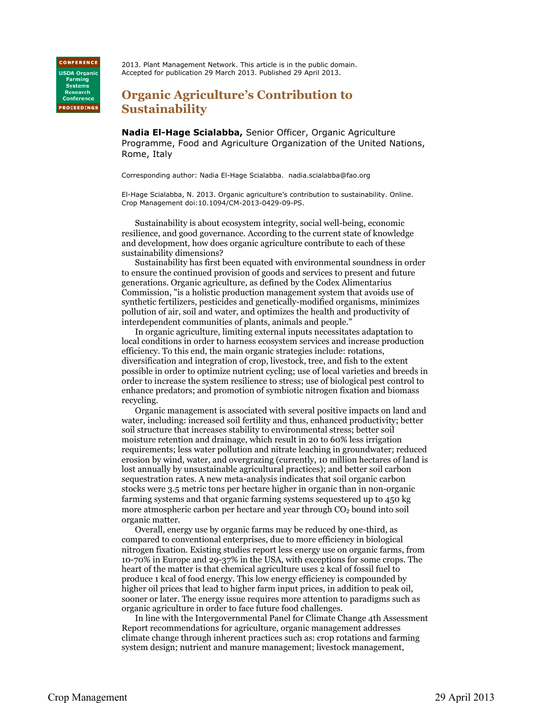**CONFERENCE USDA Organic Farming** Systems<br>Research Conference **PROCEEDINGS** 

2013. Plant Management Network. This article is in the public domain. Accepted for publication 29 March 2013. Published 29 April 2013.

## **Organic Agriculture's Contribution to Sustainability**

**Nadia El-Hage Scialabba,** Senior Officer, Organic Agriculture Programme, Food and Agriculture Organization of the United Nations, Rome, Italy

Corresponding author: Nadia El-Hage Scialabba. nadia.scialabba@fao.org

El-Hage Scialabba, N. 2013. Organic agriculture's contribution to sustainability. Online. Crop Management doi:10.1094/CM-2013-0429-09-PS.

Sustainability is about ecosystem integrity, social well-being, economic resilience, and good governance. According to the current state of knowledge and development, how does organic agriculture contribute to each of these sustainability dimensions?

Sustainability has first been equated with environmental soundness in order to ensure the continued provision of goods and services to present and future generations. Organic agriculture, as defined by the Codex Alimentarius Commission, "is a holistic production management system that avoids use of synthetic fertilizers, pesticides and genetically-modified organisms, minimizes pollution of air, soil and water, and optimizes the health and productivity of interdependent communities of plants, animals and people."

In organic agriculture, limiting external inputs necessitates adaptation to local conditions in order to harness ecosystem services and increase production efficiency. To this end, the main organic strategies include: rotations, diversification and integration of crop, livestock, tree, and fish to the extent possible in order to optimize nutrient cycling; use of local varieties and breeds in order to increase the system resilience to stress; use of biological pest control to enhance predators; and promotion of symbiotic nitrogen fixation and biomass recycling.

Organic management is associated with several positive impacts on land and water, including: increased soil fertility and thus, enhanced productivity; better soil structure that increases stability to environmental stress; better soil moisture retention and drainage, which result in 20 to 60% less irrigation requirements; less water pollution and nitrate leaching in groundwater; reduced erosion by wind, water, and overgrazing (currently, 10 million hectares of land is lost annually by unsustainable agricultural practices); and better soil carbon sequestration rates. A new meta-analysis indicates that soil organic carbon stocks were 3.5 metric tons per hectare higher in organic than in non-organic farming systems and that organic farming systems sequestered up to 450 kg more atmospheric carbon per hectare and year through CO<sub>2</sub> bound into soil organic matter.

Overall, energy use by organic farms may be reduced by one-third, as compared to conventional enterprises, due to more efficiency in biological nitrogen fixation. Existing studies report less energy use on organic farms, from 10-70% in Europe and 29-37% in the USA, with exceptions for some crops. The heart of the matter is that chemical agriculture uses 2 kcal of fossil fuel to produce 1 kcal of food energy. This low energy efficiency is compounded by higher oil prices that lead to higher farm input prices, in addition to peak oil, sooner or later. The energy issue requires more attention to paradigms such as organic agriculture in order to face future food challenges.

In line with the Intergovernmental Panel for Climate Change 4th Assessment Report recommendations for agriculture, organic management addresses climate change through inherent practices such as: crop rotations and farming system design; nutrient and manure management; livestock management,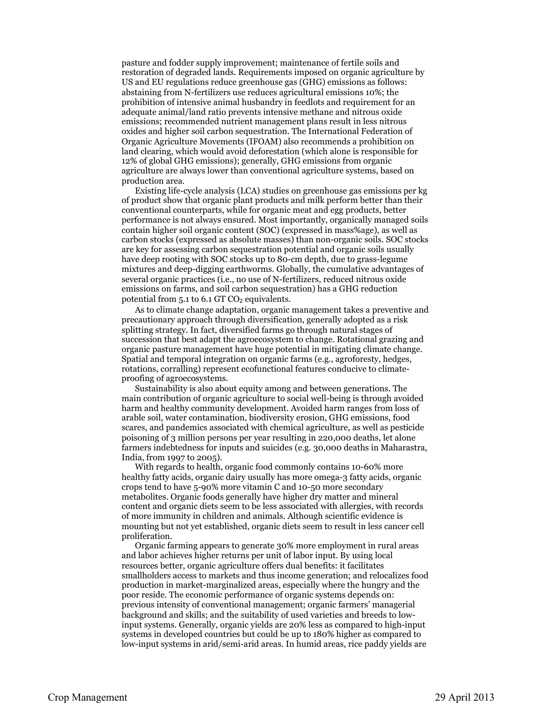pasture and fodder supply improvement; maintenance of fertile soils and restoration of degraded lands. Requirements imposed on organic agriculture by US and EU regulations reduce greenhouse gas (GHG) emissions as follows: abstaining from N-fertilizers use reduces agricultural emissions 10%; the prohibition of intensive animal husbandry in feedlots and requirement for an adequate animal/land ratio prevents intensive methane and nitrous oxide emissions; recommended nutrient management plans result in less nitrous oxides and higher soil carbon sequestration. The International Federation of Organic Agriculture Movements (IFOAM) also recommends a prohibition on land clearing, which would avoid deforestation (which alone is responsible for 12% of global GHG emissions); generally, GHG emissions from organic agriculture are always lower than conventional agriculture systems, based on production area.

Existing life-cycle analysis (LCA) studies on greenhouse gas emissions per kg of product show that organic plant products and milk perform better than their conventional counterparts, while for organic meat and egg products, better performance is not always ensured. Most importantly, organically managed soils contain higher soil organic content (SOC) (expressed in mass%age), as well as carbon stocks (expressed as absolute masses) than non-organic soils. SOC stocks are key for assessing carbon sequestration potential and organic soils usually have deep rooting with SOC stocks up to 80-cm depth, due to grass-legume mixtures and deep-digging earthworms. Globally, the cumulative advantages of several organic practices (i.e., no use of N-fertilizers, reduced nitrous oxide emissions on farms, and soil carbon sequestration) has a GHG reduction potential from  $5.1$  to  $6.1$  GT CO<sub>2</sub> equivalents.

As to climate change adaptation, organic management takes a preventive and precautionary approach through diversification, generally adopted as a risk splitting strategy. In fact, diversified farms go through natural stages of succession that best adapt the agroecosystem to change. Rotational grazing and organic pasture management have huge potential in mitigating climate change. Spatial and temporal integration on organic farms (e.g., agroforesty, hedges, rotations, corralling) represent ecofunctional features conducive to climateproofing of agroecosystems.

Sustainability is also about equity among and between generations. The main contribution of organic agriculture to social well-being is through avoided harm and healthy community development. Avoided harm ranges from loss of arable soil, water contamination, biodiversity erosion, GHG emissions, food scares, and pandemics associated with chemical agriculture, as well as pesticide poisoning of 3 million persons per year resulting in 220,000 deaths, let alone farmers indebtedness for inputs and suicides (e.g. 30,000 deaths in Maharastra, India, from 1997 to 2005).

With regards to health, organic food commonly contains 10-60% more healthy fatty acids, organic dairy usually has more omega-3 fatty acids, organic crops tend to have 5-90% more vitamin C and 10-50 more secondary metabolites. Organic foods generally have higher dry matter and mineral content and organic diets seem to be less associated with allergies, with records of more immunity in children and animals. Although scientific evidence is mounting but not yet established, organic diets seem to result in less cancer cell proliferation.

Organic farming appears to generate 30% more employment in rural areas and labor achieves higher returns per unit of labor input. By using local resources better, organic agriculture offers dual benefits: it facilitates smallholders access to markets and thus income generation; and relocalizes food production in market-marginalized areas, especially where the hungry and the poor reside. The economic performance of organic systems depends on: previous intensity of conventional management; organic farmers' managerial background and skills; and the suitability of used varieties and breeds to lowinput systems. Generally, organic yields are 20% less as compared to high-input systems in developed countries but could be up to 180% higher as compared to low-input systems in arid/semi-arid areas. In humid areas, rice paddy yields are